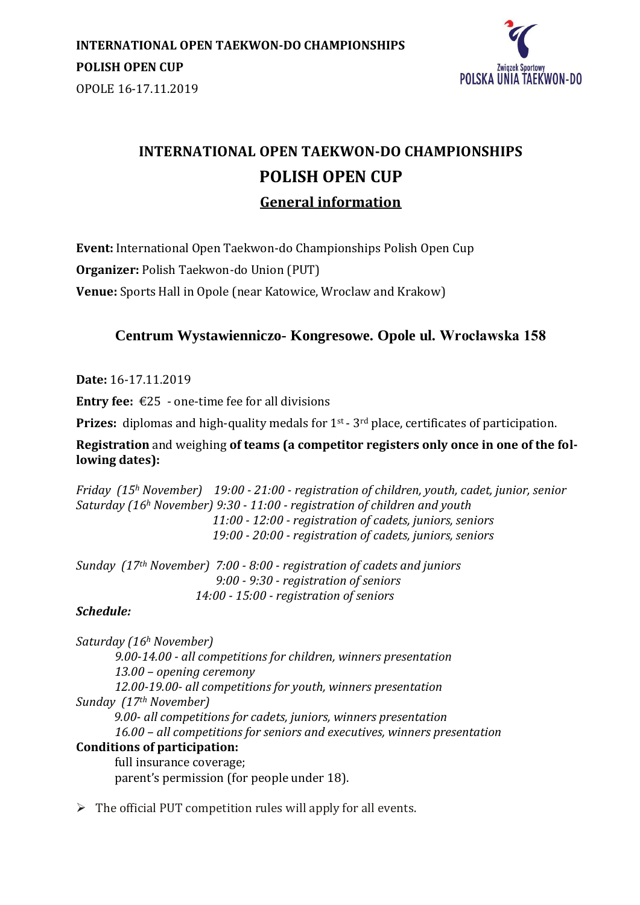

# **INTERNATIONAL OPEN TAEKWON-DO CHAMPIONSHIPS POLISH OPEN CUP General information**

**Event:** International Open Taekwon-do Championships Polish Open Cup **Organizer:** Polish Taekwon-do Union (PUT)

**Venue:** Sports Hall in Opole (near Katowice, Wroclaw and Krakow)

## **Centrum Wystawienniczo- Kongresowe. Opole ul. Wrocławska 158**

**Date:** 16-17.11.2019

**Entry fee:**  $\epsilon$ 25 - one-time fee for all divisions

**Prizes:** diplomas and high-quality medals for 1<sup>st</sup> - 3<sup>rd</sup> place, certificates of participation.

**Registration** and weighing **of teams (a competitor registers only once in one of the following dates):** 

*Friday (15<sup>h</sup> November) 19:00 - 21:00 - registration of children, youth, cadet, junior, senior Saturday (16<sup>h</sup> November) 9:30 - 11:00 - registration of children and youth 11:00 - 12:00 - registration of cadets, juniors, seniors 19:00 - 20:00 - registration of cadets, juniors, seniors*

*Sunday (17th November) 7:00 - 8:00 - registration of cadets and juniors 9:00 - 9:30 - registration of seniors 14:00 - 15:00 - registration of seniors*

#### *Schedule:*

*Saturday (16<sup>h</sup> November) 9.00-14.00 - all competitions for children, winners presentation 13.00 – opening ceremony 12.00-19.00- all competitions for youth, winners presentation Sunday (17th November) 9.00- all competitions for cadets, juniors, winners presentation 16.00 – all competitions for seniors and executives, winners presentation* **Conditions of participation:** full insurance coverage; parent's permission (for people under 18).

 $\triangleright$  The official PUT competition rules will apply for all events.